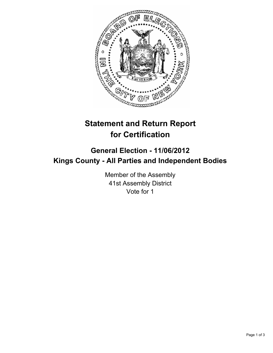

# **Statement and Return Report for Certification**

## **General Election - 11/06/2012 Kings County - All Parties and Independent Bodies**

Member of the Assembly 41st Assembly District Vote for 1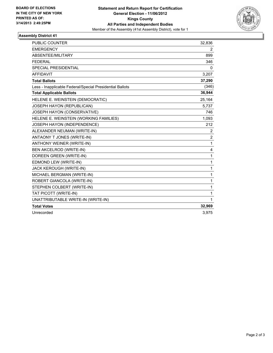

### **Assembly District 41**

| <b>PUBLIC COUNTER</b>                                    | 32,836         |
|----------------------------------------------------------|----------------|
| <b>EMERGENCY</b>                                         | 2              |
| ABSENTEE/MILITARY                                        | 899            |
| <b>FEDERAL</b>                                           | 346            |
| <b>SPECIAL PRESIDENTIAL</b>                              | 0              |
| <b>AFFIDAVIT</b>                                         | 3,207          |
| <b>Total Ballots</b>                                     | 37,290         |
| Less - Inapplicable Federal/Special Presidential Ballots | (346)          |
| <b>Total Applicable Ballots</b>                          | 36,944         |
| HELENE E. WEINSTEIN (DEMOCRATIC)                         | 25,164         |
| JOSEPH HAYON (REPUBLICAN)                                | 5,737          |
| JOSEPH HAYON (CONSERVATIVE)                              | 746            |
| HELENE E. WEINSTEIN (WORKING FAMILIES)                   | 1,093          |
| JOSEPH HAYON (INDEPENDENCE)                              | 212            |
| ALEXANDER NEUMAN (WRITE-IN)                              | 2              |
| ANTAONY T JONES (WRITE-IN)                               | $\overline{2}$ |
| <b>ANTHONY WEINER (WRITE-IN)</b>                         | 1              |
| <b>BEN AKCELROD (WRITE-IN)</b>                           | 4              |
| DOREEN GREEN (WRITE-IN)                                  | 1              |
| EDMOND LEW (WRITE-IN)                                    | 1              |
| JACK KEROUGH (WRITE-IN)                                  | 1              |
| MICHAEL BERGMAN (WRITE-IN)                               | 1              |
| ROBERT GIANCOLA (WRITE-IN)                               | 1              |
| STEPHEN COLBERT (WRITE-IN)                               | 1              |
| TAT PICOTT (WRITE-IN)                                    | 1              |
| UNATTRIBUTABLE WRITE-IN (WRITE-IN)                       | 1              |
| <b>Total Votes</b>                                       | 32,969         |
| Unrecorded                                               | 3,975          |